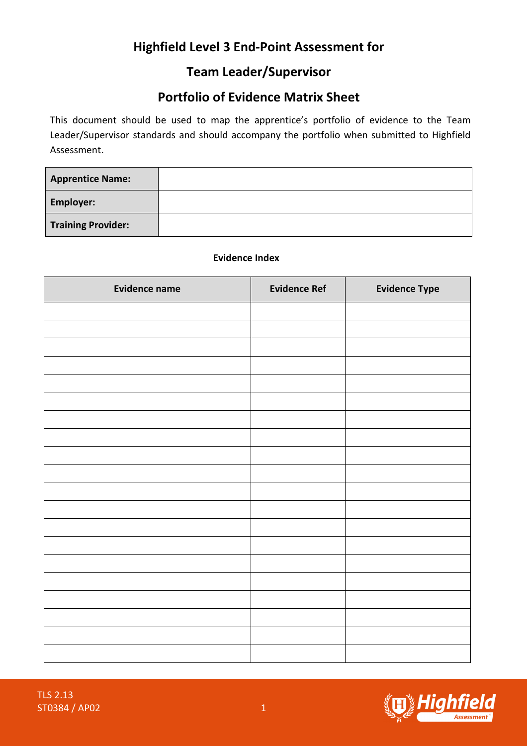# Highfield Level 3 End-Point Assessment for

### Team Leader/Supervisor

## Portfolio of Evidence Matrix Sheet

This document should be used to map the apprentice's portfolio of evidence to the Team Leader/Supervisor standards and should accompany the portfolio when submitted to Highfield Assessment.

| <b>Apprentice Name:</b>   |  |
|---------------------------|--|
| <b>Employer:</b>          |  |
| <b>Training Provider:</b> |  |

#### Evidence Index

| <b>Evidence name</b> | <b>Evidence Ref</b> | <b>Evidence Type</b> |
|----------------------|---------------------|----------------------|
|                      |                     |                      |
|                      |                     |                      |
|                      |                     |                      |
|                      |                     |                      |
|                      |                     |                      |
|                      |                     |                      |
|                      |                     |                      |
|                      |                     |                      |
|                      |                     |                      |
|                      |                     |                      |
|                      |                     |                      |
|                      |                     |                      |
|                      |                     |                      |
|                      |                     |                      |
|                      |                     |                      |
|                      |                     |                      |
|                      |                     |                      |
|                      |                     |                      |
|                      |                     |                      |
|                      |                     |                      |

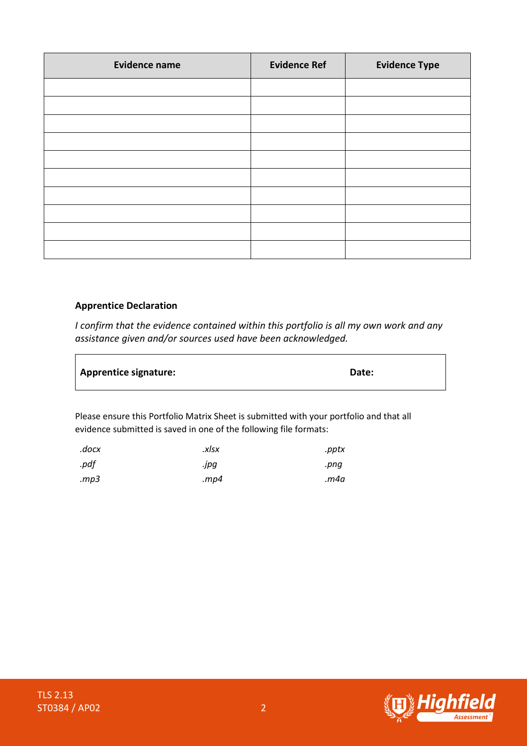| <b>Evidence name</b> | <b>Evidence Ref</b> | <b>Evidence Type</b> |
|----------------------|---------------------|----------------------|
|                      |                     |                      |
|                      |                     |                      |
|                      |                     |                      |
|                      |                     |                      |
|                      |                     |                      |
|                      |                     |                      |
|                      |                     |                      |
|                      |                     |                      |
|                      |                     |                      |
|                      |                     |                      |

#### Apprentice Declaration

 $\blacksquare$ 

I confirm that the evidence contained within this portfolio is all my own work and any assistance given and/or sources used have been acknowledged.

| <b>Apprentice signature:</b> | Date: |
|------------------------------|-------|
|                              |       |

Please ensure this Portfolio Matrix Sheet is submitted with your portfolio and that all evidence submitted is saved in one of the following file formats:

| .docx | .xlsx | .pptx |
|-------|-------|-------|
| .pdf  | .jpg  | .png  |
| mp3.  | mp4.  | m4a.  |



 $\overline{\phantom{a}}$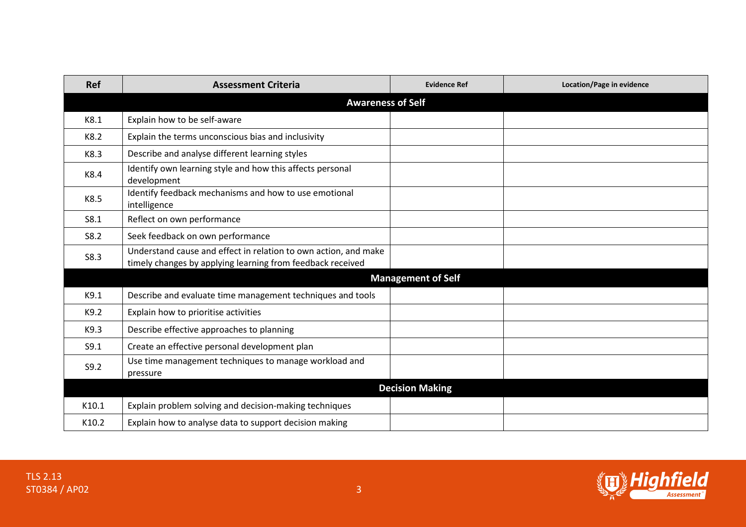| <b>Ref</b> | <b>Assessment Criteria</b>                                                                                                    | <b>Evidence Ref</b>       | Location/Page in evidence |  |
|------------|-------------------------------------------------------------------------------------------------------------------------------|---------------------------|---------------------------|--|
|            | <b>Awareness of Self</b>                                                                                                      |                           |                           |  |
| K8.1       | Explain how to be self-aware                                                                                                  |                           |                           |  |
| K8.2       | Explain the terms unconscious bias and inclusivity                                                                            |                           |                           |  |
| K8.3       | Describe and analyse different learning styles                                                                                |                           |                           |  |
| K8.4       | Identify own learning style and how this affects personal<br>development                                                      |                           |                           |  |
| K8.5       | Identify feedback mechanisms and how to use emotional<br>intelligence                                                         |                           |                           |  |
| S8.1       | Reflect on own performance                                                                                                    |                           |                           |  |
| S8.2       | Seek feedback on own performance                                                                                              |                           |                           |  |
| S8.3       | Understand cause and effect in relation to own action, and make<br>timely changes by applying learning from feedback received |                           |                           |  |
|            |                                                                                                                               | <b>Management of Self</b> |                           |  |
| K9.1       | Describe and evaluate time management techniques and tools                                                                    |                           |                           |  |
| K9.2       | Explain how to prioritise activities                                                                                          |                           |                           |  |
| K9.3       | Describe effective approaches to planning                                                                                     |                           |                           |  |
| S9.1       | Create an effective personal development plan                                                                                 |                           |                           |  |
| S9.2       | Use time management techniques to manage workload and<br>pressure                                                             |                           |                           |  |
|            | <b>Decision Making</b>                                                                                                        |                           |                           |  |
| K10.1      | Explain problem solving and decision-making techniques                                                                        |                           |                           |  |
| K10.2      | Explain how to analyse data to support decision making                                                                        |                           |                           |  |